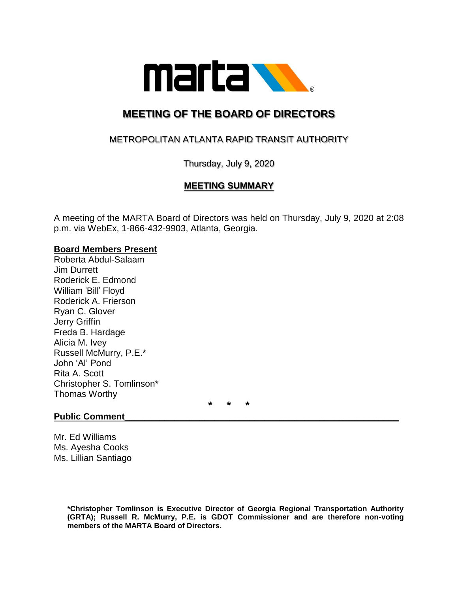

# **MEETING OF THE BOARD OF DIRECTORS**

## METROPOLITAN ATLANTA RAPID TRANSIT AUTHORITY

Thursday, July 9, 2020

### **MEETING SUMMARY**

A meeting of the MARTA Board of Directors was held on Thursday, July 9, 2020 at 2:08 p.m. via WebEx, 1-866-432-9903, Atlanta, Georgia.

#### **Board Members Present**

Roberta Abdul-Salaam Jim Durrett Roderick E. Edmond William 'Bill' Floyd Roderick A. Frierson Ryan C. Glover Jerry Griffin Freda B. Hardage Alicia M. Ivey Russell McMurry, P.E.\* John 'Al' Pond Rita A. Scott Christopher S. Tomlinson\* Thomas Worthy

**\* \* \***

#### **Public Comment**

Mr. Ed Williams Ms. Ayesha Cooks Ms. Lillian Santiago

> **\*Christopher Tomlinson is Executive Director of Georgia Regional Transportation Authority (GRTA); Russell R. McMurry, P.E. is GDOT Commissioner and are therefore non-voting members of the MARTA Board of Directors.**